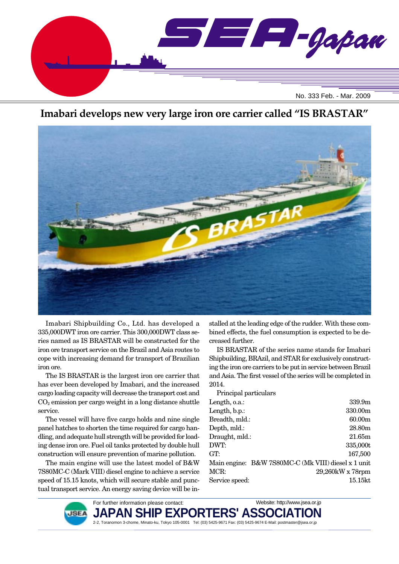

## **Imabari develops new very large iron ore carrier called "IS BRASTAR"**



Imabari Shipbuilding Co., Ltd. has developed a 335,000DWT iron ore carrier. This 300,000DWT class series named as IS BRASTAR will be constructed for the iron ore transport service on the Brazil and Asia routes to cope with increasing demand for transport of Brazilian iron ore.

The IS BRASTAR is the largest iron ore carrier that has ever been developed by Imabari, and the increased cargo loading capacity will decrease the transport cost and  $CO<sub>2</sub>$  emission per cargo weight in a long distance shuttle service.

The vessel will have five cargo holds and nine single panel hatches to shorten the time required for cargo handling, and adequate hull strength will be provided for loading dense iron ore. Fuel oil tanks protected by double hull construction will ensure prevention of marine pollution.

The main engine will use the latest model of B&W 7S80MC-C (Mark VIII) diesel engine to achieve a service speed of 15.15 knots, which will secure stable and punctual transport service. An energy saving device will be installed at the leading edge of the rudder. With these combined effects, the fuel consumption is expected to be decreased further.

IS BRASTAR of the series name stands for Imabari Shipbuilding, BRAzil, and STAR for exclusively constructing the iron ore carriers to be put in service between Brazil and Asia. The first vessel of the series will be completed in 2014.

| Principal particulars                               |                    |
|-----------------------------------------------------|--------------------|
| Length, o.a.:                                       | 339.9m             |
| Length, b.p.:                                       | 330.00m            |
| Breadth, mld.:                                      | 60.00 <sub>m</sub> |
| Depth, mld.:                                        | 28.80m             |
| Draught, mld.:                                      | 21.65m             |
| DWT:                                                | 335,000t           |
| GT:                                                 | 167,500            |
| Main engine: B&W 7S80MC-C (Mk VIII) diesel x 1 unit |                    |
| MCR:                                                | 29,260kW x 78rpm   |
| Service speed:                                      | 15.15kt            |

Website: http://www.jsea.or.jp



JAPAN SHIP EXPORTERS' ASS**C** 2-2, Toranomon 3-chome, Minato-ku, Tokyo 105-0001 Tel: (03) 5425-9671 Fax: (03) 5425-9674 E-Mail: postmaster@jsea.or.jp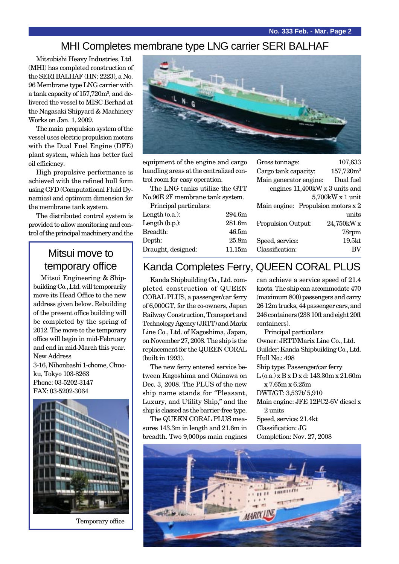#### MHI Completes membrane type LNG carrier SERI BALHAF

Mitsubishi Heavy Industries, Ltd. (MHI) has completed construction of the SERI BALHAF (HN: 2223), a No. 96 Membrane type LNG carrier with a tank capacity of 157,720m<sup>3</sup>, and delivered the vessel to MISC Berhad at the Nagasaki Shipyard & Machinery Works on Jan. 1, 2009.

The main propulsion system of the vessel uses electric propulsion motors with the Dual Fuel Engine (DFE) plant system, which has better fuel oil efficiency.

High propulsive performance is achieved with the refined hull form using CFD (Computational Fluid Dynamics) and optimum dimension for the membrane tank system.

The distributed control system is provided to allow monitoring and control of the principal machinery and the

## Mitsui move to temporary office

Mitsui Engineering & Shipbuilding Co., Ltd. will temporarily move its Head Office to the new address given below. Rebuilding of the present office building will be completed by the spring of 2012. The move to the temporary office will begin in mid-February and end in mid-March this year. New Address 3-16, Nihonbashi 1-chome, Chuoku, Tokyo 103-8263 Phone: 03-5202-3147 FAX: 03-5202-3064



Temporary office



equipment of the engine and cargo handling areas at the centralized control room for easy operation.

The LNG tanks utilize the GTT No.96E 2F membrane tank system.

Principal particulars:

| Length (o.a.):     | 294.6m            |
|--------------------|-------------------|
| Length $(b.p.):$   | 281.6m            |
| Breadth:           | 46.5m             |
| Depth:             | 25.8 <sub>m</sub> |
| Draught, designed: | 11.15m            |
|                    |                   |

| Gross tonnage:                       | 107,633            |
|--------------------------------------|--------------------|
| Cargo tank capacity:                 | $157,720m^3$       |
| Main generator engine:               | Dual fuel          |
| engines 11,400kW x 3 units and       |                    |
|                                      | 5,700kW x 1 unit   |
| Main engine: Propulsion motors $x 2$ |                    |
|                                      | units              |
| <b>Propulsion Output:</b>            | 24,750kW x         |
|                                      | 78rpm              |
| Speed, service:                      | 19.5 <sub>kt</sub> |
| Classification:                      |                    |

## Kanda Completes Ferry, QUEEN CORAL PLUS

Kanda Shipbuilding Co., Ltd. completed construction of QUEEN CORAL PLUS, a passenger/car ferry of 6,000GT, for the co-owners, Japan Railway Construction, Transport and Technology Agency (JRTT) and Marix Line Co., Ltd. of Kagoshima, Japan, on November 27, 2008. The ship is the replacement for the QUEEN CORAL (built in 1993).

The new ferry entered service between Kagoshima and Okinawa on Dec. 3, 2008. The PLUS of the new ship name stands for "Pleasant, Luxury, and Utility Ship," and the ship is classed as the barrier-free type.

The QUEEN CORAL PLUS measures 143.3m in length and 21.6m in breadth. Two 9,000ps main engines

can achieve a service speed of 21.4 knots. The ship can accommodate 470 (maximum 800) passengers and carry 26 12m trucks, 44 passenger cars, and 246 containers (238 10ft and eight 20ft containers).

Principal particulars Owner: JRTT/Marix Line Co., Ltd. Builder: Kanda Shipbuilding Co., Ltd. Hull No.: 498 Ship type: Passenger/car ferry L (o.a.) x B x D x d: 143.30m x 21.60m x 7.65m x 6.25m DWT/GT: 3,537t/ 5,910 Main engine: JFE 12PC2-6V diesel x 2 units Speed, service: 21.4kt Classification: JG Completion: Nov. 27, 2008

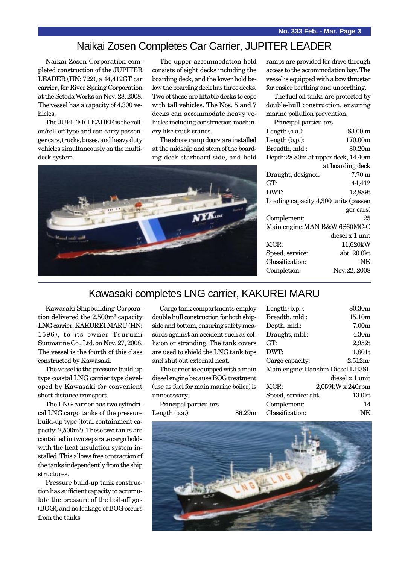#### Naikai Zosen Completes Car Carrier, JUPITER LEADER

Naikai Zosen Corporation completed construction of the JUPITER LEADER (HN: 722), a 44,412GT car carrier, for River Spring Corporation at the Setoda Works on Nov. 28, 2008. The vessel has a capacity of 4,300 vehicles.

The JUPITER LEADER is the rollon/roll-off type and can carry passenger cars, trucks, buses, and heavy duty vehicles simultaneously on the multideck system.

The upper accommodation hold consists of eight decks including the boarding deck, and the lower hold below the boarding deck has three decks. Two of these are liftable decks to cope with tall vehicles. The Nos. 5 and 7 decks can accommodate heavy vehicles including construction machinery like truck cranes.

The shore ramp doors are installed at the midship and stern of the boarding deck starboard side, and hold



ramps are provided for drive through access to the accommodation bay. The vessel is equipped with a bow thruster for easier berthing and unberthing.

The fuel oil tanks are protected by double-hull construction, ensuring marine pollution prevention.

| Principal particulars                 |                   |
|---------------------------------------|-------------------|
| Length $(0.a.)$ :                     | $83.00 \text{ m}$ |
| Length $(b.p.):$                      | 170.00m           |
| Breadth, mld.:                        | 30.20m            |
| Depth: 28.80m at upper deck, 14.40m   |                   |
|                                       | at boarding deck  |
| Draught, designed:                    | $7.70 \text{ m}$  |
| GT:                                   | 44,412            |
| DWT:                                  | 12,889t           |
| Loading capacity: 4,300 units (passen |                   |
|                                       | ger cars)         |
| Complement:                           | 25                |
| Main engine: MAN B&W 6S60MC-C         |                   |
|                                       | diesel x 1 unit   |
| MCR:                                  | 11,620kW          |
| Speed, service:                       | abt. 20.0kt       |
| Classification:                       | NK                |
| Completion:                           | Nov.22, 2008      |
|                                       |                   |

## Kawasaki completes LNG carrier, KAKUREI MARU

Kawasaki Shipbuilding Corporation delivered the 2,500m<sup>3</sup> capacity LNG carrier, KAKUREI MARU (HN: 1596), to its owner Tsurumi Sunmarine Co., Ltd. on Nov. 27, 2008. The vessel is the fourth of this class constructed by Kawasaki.

The vessel is the pressure build-up type coastal LNG carrier type developed by Kawasaki for convenient short distance transport.

The LNG carrier has two cylindrical LNG cargo tanks of the pressure build-up type (total containment capacity: 2,500m3 ). These two tanks are contained in two separate cargo holds with the heat insulation system installed. This allows free contraction of the tanks independently from the ship structures.

Pressure build-up tank construction has sufficient capacity to accumulate the pressure of the boil-off gas (BOG), and no leakage of BOG occurs from the tanks.

Cargo tank compartments employ double hull construction for both shipside and bottom, ensuring safety measures against an accident such as collision or stranding. The tank covers are used to shield the LNG tank tops and shut out external heat.

The carrier is equipped with a main diesel engine because BOG treatment (use as fuel for main marine boiler) is unnecessary.

Principal particulars Length (o.a.): 86.29m

| Length $(b.p.):$     | 80.30m                            |
|----------------------|-----------------------------------|
| Breadth, mld.:       | 15.10m                            |
| Depth, mld.:         | 7.00 <sub>m</sub>                 |
| Draught, mld.:       | 4.30m                             |
| GT:                  | 2,952t                            |
| DWT:                 | 1,801t                            |
| Cargo capacity:      | $2,512m^3$                        |
|                      | Main engine: Hanshin Diesel LH38L |
|                      | diesel x 1 unit                   |
| MCR:                 | 2,059kW x 240rpm                  |
| Speed, service: abt. | 13.0kt                            |
| Complement:          | 14                                |
| Classification:      | NΚ                                |
|                      |                                   |

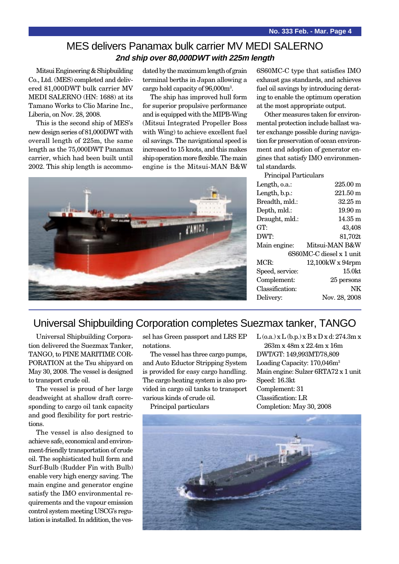#### MES delivers Panamax bulk carrier MV MEDI SALERNO **2nd ship over 80,000DWT with 225m length**

Mitsui Engineering & Shipbuilding Co., Ltd. (MES) completed and delivered 81,000DWT bulk carrier MV MEDI SALERNO (HN: 1688) at its Tamano Works to Clio Marine Inc., Liberia, on Nov. 28, 2008.

This is the second ship of MES's new design series of 81,000DWT with overall length of 225m, the same length as the 75,000DWT Panamax carrier, which had been built until 2002. This ship length is accommo-

dated by the maximum length of grain terminal berths in Japan allowing a cargo hold capacity of 96,000m3 .

The ship has improved hull form for superior propulsive performance and is equipped with the MIPB-Wing (Mitsui Integrated Propeller Boss with Wing) to achieve excellent fuel oil savings. The navigational speed is increased to 15 knots, and this makes ship operation more flexible. The main engine is the Mitsui-MAN B&W



6S60MC-C type that satisfies IMO exhaust gas standards, and achieves fuel oil savings by introducing derating to enable the optimum operation at the most appropriate output.

Other measures taken for environmental protection include ballast water exchange possible during navigation for preservation of ocean environment and adoption of generator engines that satisfy IMO environmental standards.

| Principal Particulars    |                    |  |
|--------------------------|--------------------|--|
| Length, o.a.:            | 225.00 m           |  |
| Length, b.p.:            | $221.50 \text{ m}$ |  |
| Breadth, mld.:           | $32.25 \text{ m}$  |  |
| Depth, mld.:             | $19.90 \text{ m}$  |  |
| Draught, mld.:           | 14.35 m            |  |
| GT:                      | 43,408             |  |
| DWT:                     | 81,702t            |  |
| Main engine:             | Mitsui-MAN B&W     |  |
| 6S60MC-C diesel x 1 unit |                    |  |
| MCR:                     | 12,100kW x 94rpm   |  |
| Speed, service:          | 15.0 <sub>kt</sub> |  |
| Complement:              | 25 persons         |  |
| Classification:          | NΚ                 |  |
| Delivery:                | Nov. 28, 2008      |  |
|                          |                    |  |

### Universal Shipbuilding Corporation completes Suezmax tanker, TANGO

Universal Shipbuilding Corporation delivered the Suezmax Tanker, TANGO, to PINE MARITIME COR-PORATION at the Tsu shipyard on May 30, 2008. The vessel is designed to transport crude oil.

The vessel is proud of her large deadweight at shallow draft corresponding to cargo oil tank capacity and good flexibility for port restrictions.

The vessel is also designed to achieve safe, economical and environment-friendly transportation of crude oil. The sophisticated hull form and Surf-Bulb (Rudder Fin with Bulb) enable very high energy saving. The main engine and generator engine satisfy the IMO environmental requirements and the vapour emission control system meeting USCG's regulation is installed. In addition, the vessel has Green passport and LRS EP notations.

The vessel has three cargo pumps, and Auto Eductor Stripping System is provided for easy cargo handling. The cargo heating system is also provided in cargo oil tanks to transport various kinds of crude oil.

Principal particulars

 $L$  (o.a.) x  $L$  (b.p.) x  $B$  x  $D$  x d: 274.3m x 263m x 48m x 22.4m x 16m DWT/GT: 149,993MT/78,809 Loading Capacity: 170,046m3 Main engine: Sulzer 6RTA72 x 1 unit Speed: 16.3kt Complement: 31 Classification: LR Completion: May 30, 2008

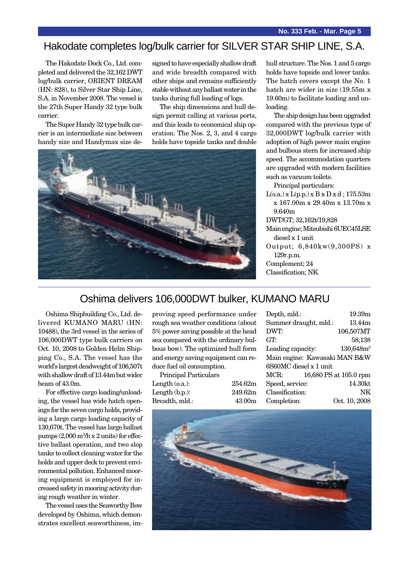# Hakodate completes log/bulk carrier for SILVER STAR SHIP LINE, S.A.

The Hakodate Dock Co., Ltd. completed and delivered the 32,162 DWT log/bulk carrier, ORIENT DREAM (HN: 828), to Silver Star Ship Line, S.A. in November 2008. The vessel is the 27th Super Handy 32 type bulk carrier.

The Super Handy 32 type bulk carrier is an intermediate size between handy size and Handymax size designed to have especially shallow draft and wide breadth compared with other ships and remains sufficiently stable without any ballast water in the tanks during full loading of logs.

The ship dimensions and hull design permit calling at various ports, and this leads to economical ship operation. The Nos. 2, 3, and 4 cargo holds have topside tanks and double



hull structure. The Nos. 1 and 5 cargo holds have topside and lower tanks. The hatch covers except the No. 1 hatch are wider in size (19.55m x 19.60m) to facilitate loading and unloading.

The ship design has been upgraded compared with the previous type of 32,000DWT log/bulk carrier with adoption of high power main engine and bulbous stern for increased ship speed. The accommodation quarters are upgraded with modern facilities such as vacuum toilets.

Principal particulars:

 $L(o.a.)$  x  $L(p.p.)$  x  $B$  x  $D$  x  $d$ ; 175.53m x 167.00m x 29.40m x 13.70m x 9.640m

DWT/GT; 32,162t/19,828

Main engine; Mitsubishi 6UEC45LSE diesel x 1 unit

Output; 6,840kw(9,300PS) x 129r.p.m.

Complement; 24 Classification; NK

## Oshima delivers 106,000DWT bulker, KUMANO MARU

Oshima Shipbuilding Co., Ltd. delivered KUMANO MARU (HN: 10488), the 3rd vessel in the series of 106,000DWT type bulk carriers on Oct. 10, 2008 to Golden Helm Shipping Co., S.A. The vessel has the world's largest deadweight of 106,507t with shallow draft of 13.44m but wider beam of 43.0m.

For effective cargo loading/unloading, the vessel has wide hatch openings for the seven cargo holds, providing a large cargo loading capacity of 130,679t. The vessel has large ballast pumps (2,000 m3 /h x 2 units) for effective ballast operation, and two slop tanks to collect cleaning water for the holds and upper deck to prevent environmental pollution. Enhanced mooring equipment is employed for increased safety in mooring activity during rough weather in winter.

The vessel uses the Seaworthy Bow developed by Oshima, which demonstrates excellent seaworthiness, improving speed performance under rough sea weather conditions (about 5% power saving possible at the head sea compared with the ordinary bulbous bow). The optimized hull form and energy saving equipment can reduce fuel oil consumption.

Breadth, mld.: 43.00m

Principal Particulars Length (o.a.): 254.62m Length (b.p.): 249.62m

| Depth, mld.:                  | 19.39m                 |  |
|-------------------------------|------------------------|--|
| Summer draught, mld.:         | 13.44m                 |  |
| DWT:                          | 106,507MT              |  |
| GT:                           | 58,138                 |  |
| Loading capacity:             | $130,648m^3$           |  |
| Main engine: Kawasaki MAN B&W |                        |  |
| 6S60MC diesel x 1 unit        |                        |  |
| MCR:                          | 16,680 PS at 105.0 rpm |  |
| Speed, service:               | 14.30kt                |  |
| Classification:               | NΚ                     |  |
| Completion:                   | Oct. 10, 2008          |  |